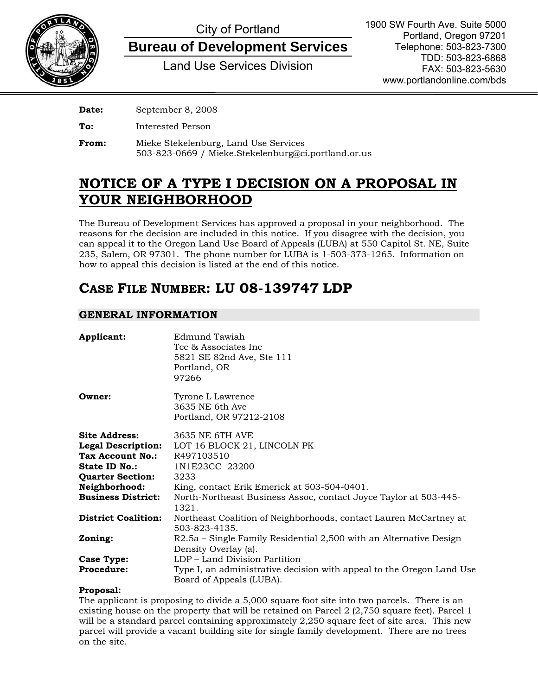

# City of Portland

**Bureau of Development Services**

Land Use Services Division

| Date: | September 8, 2008                                                                            |
|-------|----------------------------------------------------------------------------------------------|
| To:   | Interested Person                                                                            |
| From: | Mieke Stekelenburg, Land Use Services<br>503-823-0669 / Mieke.Stekelenburg@ci.portland.or.us |

# **NOTICE OF A TYPE I DECISION ON A PROPOSAL IN YOUR NEIGHBORHOOD**

The Bureau of Development Services has approved a proposal in your neighborhood. The reasons for the decision are included in this notice. If you disagree with the decision, you can appeal it to the Oregon Land Use Board of Appeals (LUBA) at 550 Capitol St. NE, Suite 235, Salem, OR 97301. The phone number for LUBA is 1-503-373-1265. Information on how to appeal this decision is listed at the end of this notice.

# **CASE FILE NUMBER: LU 08-139747 LDP**

### **GENERAL INFORMATION**

| Applicant:                 | Edmund Tawiah<br>Tcc & Associates Inc<br>5821 SE 82nd Ave, Ste 111<br>Portland, OR<br>97266       |
|----------------------------|---------------------------------------------------------------------------------------------------|
| Owner:                     | Tyrone L Lawrence<br>3635 NE 6th Ave<br>Portland, OR 97212-2108                                   |
| <b>Site Address:</b>       | 3635 NE 6TH AVE                                                                                   |
| <b>Legal Description:</b>  | LOT 16 BLOCK 21, LINCOLN PK                                                                       |
| Tax Account No.:           | R497103510                                                                                        |
| State ID No.:              | 1N1E23CC 23200                                                                                    |
| <b>Quarter Section:</b>    | 3233                                                                                              |
| Neighborhood:              | King, contact Erik Emerick at 503-504-0401.                                                       |
| <b>Business District:</b>  | North-Northeast Business Assoc, contact Joyce Taylor at 503-445-<br>1321.                         |
| <b>District Coalition:</b> | Northeast Coalition of Neighborhoods, contact Lauren McCartney at<br>503-823-4135.                |
| Zoning:                    | R2.5a – Single Family Residential 2,500 with an Alternative Design<br>Density Overlay (a).        |
| <b>Case Type:</b>          | LDP - Land Division Partition                                                                     |
| <b>Procedure:</b>          | Type I, an administrative decision with appeal to the Oregon Land Use<br>Board of Appeals (LUBA). |

#### **Proposal:**

The applicant is proposing to divide a 5,000 square foot site into two parcels. There is an existing house on the property that will be retained on Parcel 2 (2,750 square feet). Parcel 1 will be a standard parcel containing approximately 2,250 square feet of site area. This new parcel will provide a vacant building site for single family development. There are no trees on the site.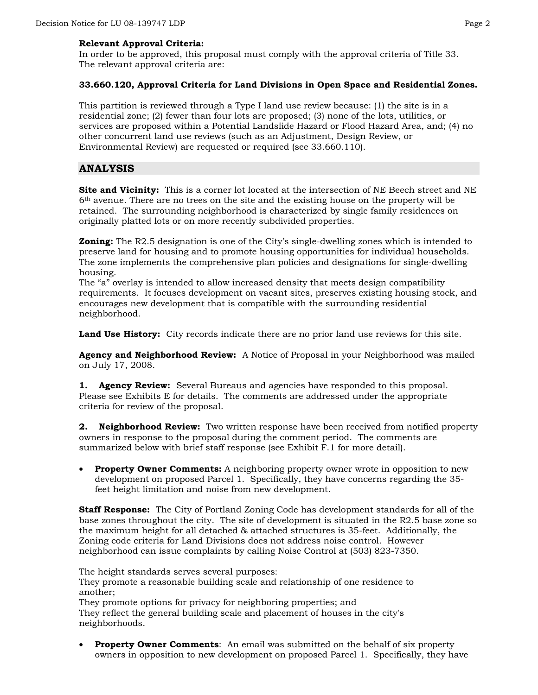#### **Relevant Approval Criteria:**

In order to be approved, this proposal must comply with the approval criteria of Title 33. The relevant approval criteria are:

#### **33.660.120, Approval Criteria for Land Divisions in Open Space and Residential Zones.**

This partition is reviewed through a Type I land use review because: (1) the site is in a residential zone; (2) fewer than four lots are proposed; (3) none of the lots, utilities, or services are proposed within a Potential Landslide Hazard or Flood Hazard Area, and; (4) no other concurrent land use reviews (such as an Adjustment, Design Review, or Environmental Review) are requested or required (see 33.660.110).

#### **ANALYSIS**

**Site and Vicinity:** This is a corner lot located at the intersection of NE Beech street and NE 6th avenue. There are no trees on the site and the existing house on the property will be retained. The surrounding neighborhood is characterized by single family residences on originally platted lots or on more recently subdivided properties.

**Zoning:** The R2.5 designation is one of the City's single-dwelling zones which is intended to preserve land for housing and to promote housing opportunities for individual households. The zone implements the comprehensive plan policies and designations for single-dwelling housing.

The "a" overlay is intended to allow increased density that meets design compatibility requirements. It focuses development on vacant sites, preserves existing housing stock, and encourages new development that is compatible with the surrounding residential neighborhood.

Land Use History: City records indicate there are no prior land use reviews for this site.

**Agency and Neighborhood Review:** A Notice of Proposal in your Neighborhood was mailed on July 17, 2008.

**1. Agency Review:** Several Bureaus and agencies have responded to this proposal. Please see Exhibits E for details. The comments are addressed under the appropriate criteria for review of the proposal.

**2. Neighborhood Review:** Two written response have been received from notified property owners in response to the proposal during the comment period. The comments are summarized below with brief staff response (see Exhibit F.1 for more detail).

• **Property Owner Comments:** A neighboring property owner wrote in opposition to new development on proposed Parcel 1. Specifically, they have concerns regarding the 35 feet height limitation and noise from new development.

**Staff Response:** The City of Portland Zoning Code has development standards for all of the base zones throughout the city. The site of development is situated in the R2.5 base zone so the maximum height for all detached & attached structures is 35-feet. Additionally, the Zoning code criteria for Land Divisions does not address noise control. However neighborhood can issue complaints by calling Noise Control at (503) 823-7350.

The height standards serves several purposes: They promote a reasonable building scale and relationship of one residence to another;

They promote options for privacy for neighboring properties; and They reflect the general building scale and placement of houses in the city's neighborhoods.

**Property Owner Comments:** An email was submitted on the behalf of six property owners in opposition to new development on proposed Parcel 1. Specifically, they have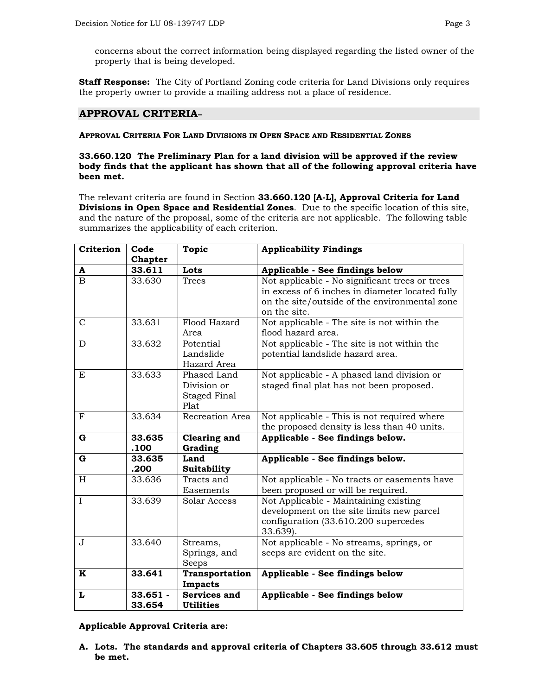concerns about the correct information being displayed regarding the listed owner of the property that is being developed.

**Staff Response:** The City of Portland Zoning code criteria for Land Divisions only requires the property owner to provide a mailing address not a place of residence.

#### **APPROVAL CRITERIA**

#### **APPROVAL CRITERIA FOR LAND DIVISIONS IN OPEN SPACE AND RESIDENTIAL ZONES**

#### **33.660.120 The Preliminary Plan for a land division will be approved if the review body finds that the applicant has shown that all of the following approval criteria have been met.**

The relevant criteria are found in Section **33.660.120 [A-L], Approval Criteria for Land Divisions in Open Space and Residential Zones**. Due to the specific location of this site, and the nature of the proposal, some of the criteria are not applicable. The following table summarizes the applicability of each criterion.

| Criterion    | Code       | <b>Topic</b>        | <b>Applicability Findings</b>                   |  |
|--------------|------------|---------------------|-------------------------------------------------|--|
|              | Chapter    |                     |                                                 |  |
| A            | 33.611     | Lots                | Applicable - See findings below                 |  |
| $\mathbf B$  | 33.630     | <b>Trees</b>        | Not applicable - No significant trees or trees  |  |
|              |            |                     | in excess of 6 inches in diameter located fully |  |
|              |            |                     | on the site/outside of the environmental zone   |  |
|              |            |                     | on the site.                                    |  |
| $\mathsf{C}$ | 33.631     | Flood Hazard        | Not applicable - The site is not within the     |  |
|              |            | Area                | flood hazard area.                              |  |
| D            | 33.632     | Potential           | Not applicable - The site is not within the     |  |
|              |            | Landslide           | potential landslide hazard area.                |  |
|              |            | Hazard Area         |                                                 |  |
| E            | 33.633     | Phased Land         | Not applicable - A phased land division or      |  |
|              |            | Division or         | staged final plat has not been proposed.        |  |
|              |            | Staged Final        |                                                 |  |
|              |            | Plat                |                                                 |  |
| $\mathbf{F}$ | 33.634     | Recreation Area     | Not applicable - This is not required where     |  |
|              |            |                     | the proposed density is less than 40 units.     |  |
| G            | 33.635     | <b>Clearing and</b> | Applicable - See findings below.                |  |
|              | .100       | Grading             |                                                 |  |
| $\mathbf G$  | 33.635     | Land                | Applicable - See findings below.                |  |
|              | .200       | Suitability         |                                                 |  |
| H            | 33.636     | Tracts and          | Not applicable - No tracts or easements have    |  |
|              |            | Easements           | been proposed or will be required.              |  |
| $\mathbf I$  | 33.639     | Solar Access        | Not Applicable - Maintaining existing           |  |
|              |            |                     | development on the site limits new parcel       |  |
|              |            |                     | configuration (33.610.200 supercedes            |  |
|              |            |                     | 33.639).                                        |  |
| J            | 33.640     | Streams,            | Not applicable - No streams, springs, or        |  |
|              |            | Springs, and        | seeps are evident on the site.                  |  |
|              |            | Seeps               |                                                 |  |
| K            | 33.641     | Transportation      | Applicable - See findings below                 |  |
|              |            | Impacts             |                                                 |  |
| L            | $33.651 -$ | Services and        | Applicable - See findings below                 |  |
|              | 33.654     | <b>Utilities</b>    |                                                 |  |

**Applicable Approval Criteria are:**

**A. Lots. The standards and approval criteria of Chapters 33.605 through 33.612 must be met.**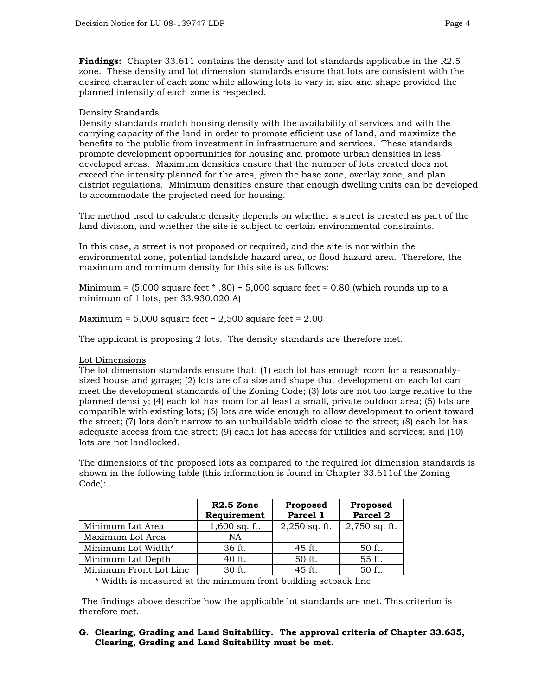**Findings:** Chapter 33.611 contains the density and lot standards applicable in the R2.5 zone. These density and lot dimension standards ensure that lots are consistent with the desired character of each zone while allowing lots to vary in size and shape provided the planned intensity of each zone is respected.

#### Density Standards

Density standards match housing density with the availability of services and with the carrying capacity of the land in order to promote efficient use of land, and maximize the benefits to the public from investment in infrastructure and services. These standards promote development opportunities for housing and promote urban densities in less developed areas. Maximum densities ensure that the number of lots created does not exceed the intensity planned for the area, given the base zone, overlay zone, and plan district regulations. Minimum densities ensure that enough dwelling units can be developed to accommodate the projected need for housing.

The method used to calculate density depends on whether a street is created as part of the land division, and whether the site is subject to certain environmental constraints.

In this case, a street is not proposed or required, and the site is not within the environmental zone, potential landslide hazard area, or flood hazard area. Therefore, the maximum and minimum density for this site is as follows:

Minimum =  $(5,000$  square feet  $*$  .80)  $\div$  5,000 square feet = 0.80 (which rounds up to a minimum of 1 lots, per 33.930.020.A)

Maximum =  $5,000$  square feet ÷ 2,500 square feet =  $2.00$ 

The applicant is proposing 2 lots. The density standards are therefore met.

#### Lot Dimensions

The lot dimension standards ensure that: (1) each lot has enough room for a reasonablysized house and garage; (2) lots are of a size and shape that development on each lot can meet the development standards of the Zoning Code; (3) lots are not too large relative to the planned density; (4) each lot has room for at least a small, private outdoor area; (5) lots are compatible with existing lots; (6) lots are wide enough to allow development to orient toward the street; (7) lots don't narrow to an unbuildable width close to the street; (8) each lot has adequate access from the street; (9) each lot has access for utilities and services; and (10) lots are not landlocked.

The dimensions of the proposed lots as compared to the required lot dimension standards is shown in the following table (this information is found in Chapter 33.611of the Zoning Code):

|                        | $R2.5$ Zone<br>Requirement | Proposed<br>Parcel 1 | Proposed<br>Parcel <sub>2</sub> |
|------------------------|----------------------------|----------------------|---------------------------------|
| Minimum Lot Area       | $1,600$ sq. ft.            | $2,250$ sq. ft.      | $2,750$ sq. ft.                 |
| Maximum Lot Area       | NA                         |                      |                                 |
| Minimum Lot Width*     | 36 ft.                     | 45 ft.               | 50 ft.                          |
| Minimum Lot Depth      | 40 ft.                     | 50 ft.               | 55 ft.                          |
| Minimum Front Lot Line | 30 ft.                     | 45 ft.               | 50 ft.                          |

\* Width is measured at the minimum front building setback line

 The findings above describe how the applicable lot standards are met. This criterion is therefore met.

#### **G. Clearing, Grading and Land Suitability. The approval criteria of Chapter 33.635, Clearing, Grading and Land Suitability must be met.**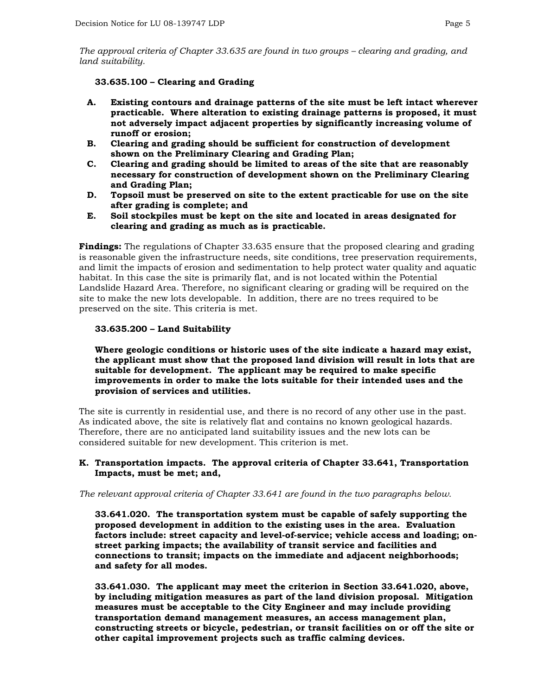*The approval criteria of Chapter 33.635 are found in two groups – clearing and grading, and land suitability.*

#### **33.635.100 – Clearing and Grading**

- **A. Existing contours and drainage patterns of the site must be left intact wherever practicable. Where alteration to existing drainage patterns is proposed, it must not adversely impact adjacent properties by significantly increasing volume of runoff or erosion;**
- **B. Clearing and grading should be sufficient for construction of development shown on the Preliminary Clearing and Grading Plan;**
- **C. Clearing and grading should be limited to areas of the site that are reasonably necessary for construction of development shown on the Preliminary Clearing and Grading Plan;**
- **D. Topsoil must be preserved on site to the extent practicable for use on the site after grading is complete; and**
- **E. Soil stockpiles must be kept on the site and located in areas designated for clearing and grading as much as is practicable.**

**Findings:** The regulations of Chapter 33.635 ensure that the proposed clearing and grading is reasonable given the infrastructure needs, site conditions, tree preservation requirements, and limit the impacts of erosion and sedimentation to help protect water quality and aquatic habitat. In this case the site is primarily flat, and is not located within the Potential Landslide Hazard Area. Therefore, no significant clearing or grading will be required on the site to make the new lots developable. In addition, there are no trees required to be preserved on the site. This criteria is met.

#### **33.635.200 – Land Suitability**

#### **Where geologic conditions or historic uses of the site indicate a hazard may exist, the applicant must show that the proposed land division will result in lots that are suitable for development. The applicant may be required to make specific improvements in order to make the lots suitable for their intended uses and the provision of services and utilities.**

The site is currently in residential use, and there is no record of any other use in the past. As indicated above, the site is relatively flat and contains no known geological hazards. Therefore, there are no anticipated land suitability issues and the new lots can be considered suitable for new development. This criterion is met.

#### **K. Transportation impacts. The approval criteria of Chapter 33.641, Transportation Impacts, must be met; and,**

*The relevant approval criteria of Chapter 33.641 are found in the two paragraphs below.*

**33.641.020. The transportation system must be capable of safely supporting the proposed development in addition to the existing uses in the area. Evaluation factors include: street capacity and level-of-service; vehicle access and loading; onstreet parking impacts; the availability of transit service and facilities and connections to transit; impacts on the immediate and adjacent neighborhoods; and safety for all modes.**

**33.641.030. The applicant may meet the criterion in Section 33.641.020, above, by including mitigation measures as part of the land division proposal. Mitigation measures must be acceptable to the City Engineer and may include providing transportation demand management measures, an access management plan, constructing streets or bicycle, pedestrian, or transit facilities on or off the site or other capital improvement projects such as traffic calming devices.**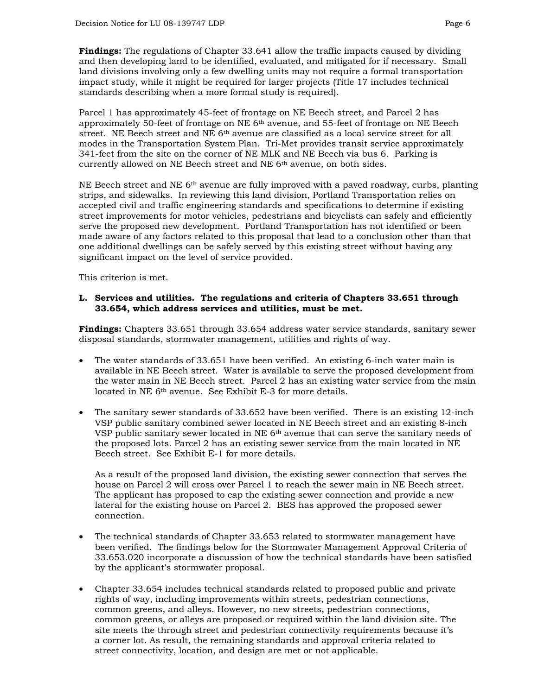**Findings:** The regulations of Chapter 33.641 allow the traffic impacts caused by dividing and then developing land to be identified, evaluated, and mitigated for if necessary. Small land divisions involving only a few dwelling units may not require a formal transportation impact study, while it might be required for larger projects (Title 17 includes technical standards describing when a more formal study is required).

Parcel 1 has approximately 45-feet of frontage on NE Beech street, and Parcel 2 has approximately 50-feet of frontage on NE  $6<sup>th</sup>$  avenue, and 55-feet of frontage on NE Beech street. NE Beech street and NE 6<sup>th</sup> avenue are classified as a local service street for all modes in the Transportation System Plan. Tri-Met provides transit service approximately 341-feet from the site on the corner of NE MLK and NE Beech via bus 6. Parking is currently allowed on NE Beech street and NE 6<sup>th</sup> avenue, on both sides.

NE Beech street and NE  $6<sup>th</sup>$  avenue are fully improved with a paved roadway, curbs, planting strips, and sidewalks. In reviewing this land division, Portland Transportation relies on accepted civil and traffic engineering standards and specifications to determine if existing street improvements for motor vehicles, pedestrians and bicyclists can safely and efficiently serve the proposed new development. Portland Transportation has not identified or been made aware of any factors related to this proposal that lead to a conclusion other than that one additional dwellings can be safely served by this existing street without having any significant impact on the level of service provided.

This criterion is met.

#### **L. Services and utilities. The regulations and criteria of Chapters 33.651 through 33.654, which address services and utilities, must be met.**

**Findings:** Chapters 33.651 through 33.654 address water service standards, sanitary sewer disposal standards, stormwater management, utilities and rights of way.

- The water standards of 33.651 have been verified. An existing 6-inch water main is available in NE Beech street. Water is available to serve the proposed development from the water main in NE Beech street. Parcel 2 has an existing water service from the main located in NE 6th avenue. See Exhibit E-3 for more details.
- The sanitary sewer standards of 33.652 have been verified. There is an existing 12-inch VSP public sanitary combined sewer located in NE Beech street and an existing 8-inch VSP public sanitary sewer located in NE 6th avenue that can serve the sanitary needs of the proposed lots. Parcel 2 has an existing sewer service from the main located in NE Beech street. See Exhibit E-1 for more details.

As a result of the proposed land division, the existing sewer connection that serves the house on Parcel 2 will cross over Parcel 1 to reach the sewer main in NE Beech street. The applicant has proposed to cap the existing sewer connection and provide a new lateral for the existing house on Parcel 2. BES has approved the proposed sewer connection.

- The technical standards of Chapter 33.653 related to stormwater management have been verified. The findings below for the Stormwater Management Approval Criteria of 33.653.020 incorporate a discussion of how the technical standards have been satisfied by the applicant's stormwater proposal.
- Chapter 33.654 includes technical standards related to proposed public and private rights of way, including improvements within streets, pedestrian connections, common greens, and alleys. However, no new streets, pedestrian connections, common greens, or alleys are proposed or required within the land division site. The site meets the through street and pedestrian connectivity requirements because it's a corner lot. As result, the remaining standards and approval criteria related to street connectivity, location, and design are met or not applicable.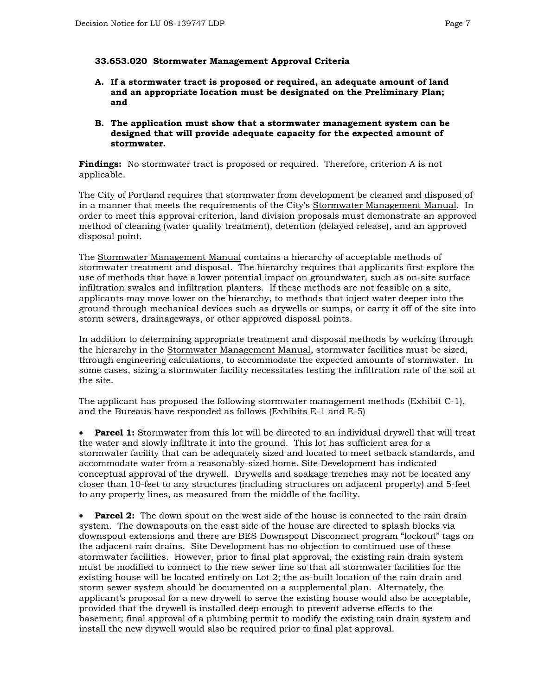#### **33.653.020 Stormwater Management Approval Criteria**

- **A. If a stormwater tract is proposed or required, an adequate amount of land and an appropriate location must be designated on the Preliminary Plan; and**
- **B. The application must show that a stormwater management system can be designed that will provide adequate capacity for the expected amount of stormwater.**

**Findings:** No stormwater tract is proposed or required. Therefore, criterion A is not applicable.

The City of Portland requires that stormwater from development be cleaned and disposed of in a manner that meets the requirements of the City's Stormwater Management Manual. In order to meet this approval criterion, land division proposals must demonstrate an approved method of cleaning (water quality treatment), detention (delayed release), and an approved disposal point.

The Stormwater Management Manual contains a hierarchy of acceptable methods of stormwater treatment and disposal. The hierarchy requires that applicants first explore the use of methods that have a lower potential impact on groundwater, such as on-site surface infiltration swales and infiltration planters. If these methods are not feasible on a site, applicants may move lower on the hierarchy, to methods that inject water deeper into the ground through mechanical devices such as drywells or sumps, or carry it off of the site into storm sewers, drainageways, or other approved disposal points.

In addition to determining appropriate treatment and disposal methods by working through the hierarchy in the Stormwater Management Manual, stormwater facilities must be sized, through engineering calculations, to accommodate the expected amounts of stormwater. In some cases, sizing a stormwater facility necessitates testing the infiltration rate of the soil at the site.

The applicant has proposed the following stormwater management methods (Exhibit C-1), and the Bureaus have responded as follows (Exhibits E-1 and E-5)

**Parcel 1:** Stormwater from this lot will be directed to an individual drywell that will treat the water and slowly infiltrate it into the ground. This lot has sufficient area for a stormwater facility that can be adequately sized and located to meet setback standards, and accommodate water from a reasonably-sized home. Site Development has indicated conceptual approval of the drywell. Drywells and soakage trenches may not be located any closer than 10-feet to any structures (including structures on adjacent property) and 5-feet to any property lines, as measured from the middle of the facility.

**Parcel 2:** The down spout on the west side of the house is connected to the rain drain system. The downspouts on the east side of the house are directed to splash blocks via downspout extensions and there are BES Downspout Disconnect program "lockout" tags on the adjacent rain drains. Site Development has no objection to continued use of these stormwater facilities. However, prior to final plat approval, the existing rain drain system must be modified to connect to the new sewer line so that all stormwater facilities for the existing house will be located entirely on Lot 2; the as-built location of the rain drain and storm sewer system should be documented on a supplemental plan. Alternately, the applicant's proposal for a new drywell to serve the existing house would also be acceptable, provided that the drywell is installed deep enough to prevent adverse effects to the basement; final approval of a plumbing permit to modify the existing rain drain system and install the new drywell would also be required prior to final plat approval.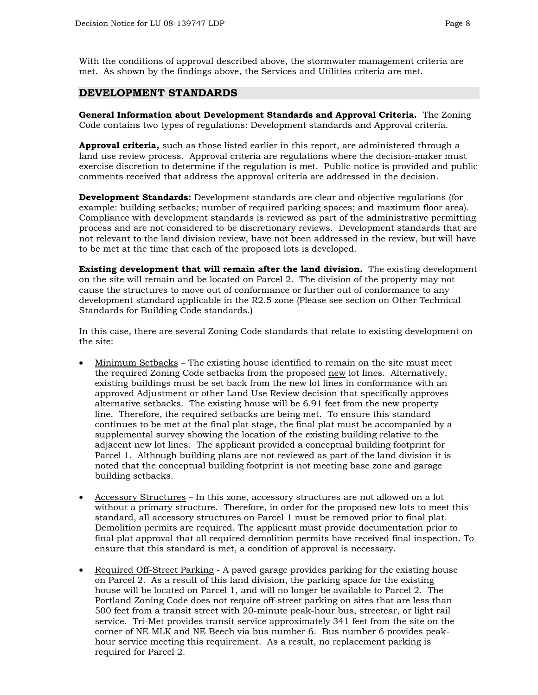With the conditions of approval described above, the stormwater management criteria are met. As shown by the findings above, the Services and Utilities criteria are met.

#### **DEVELOPMENT STANDARDS**

**General Information about Development Standards and Approval Criteria.** The Zoning Code contains two types of regulations: Development standards and Approval criteria.

**Approval criteria,** such as those listed earlier in this report, are administered through a land use review process. Approval criteria are regulations where the decision-maker must exercise discretion to determine if the regulation is met. Public notice is provided and public comments received that address the approval criteria are addressed in the decision.

**Development Standards:** Development standards are clear and objective regulations (for example: building setbacks; number of required parking spaces; and maximum floor area). Compliance with development standards is reviewed as part of the administrative permitting process and are not considered to be discretionary reviews. Development standards that are not relevant to the land division review, have not been addressed in the review, but will have to be met at the time that each of the proposed lots is developed.

**Existing development that will remain after the land division.** The existing development on the site will remain and be located on Parcel 2. The division of the property may not cause the structures to move out of conformance or further out of conformance to any development standard applicable in the R2.5 zone (Please see section on Other Technical Standards for Building Code standards.)

In this case, there are several Zoning Code standards that relate to existing development on the site:

- Minimum Setbacks The existing house identified to remain on the site must meet the required Zoning Code setbacks from the proposed new lot lines. Alternatively, existing buildings must be set back from the new lot lines in conformance with an approved Adjustment or other Land Use Review decision that specifically approves alternative setbacks. The existing house will be 6.91 feet from the new property line. Therefore, the required setbacks are being met. To ensure this standard continues to be met at the final plat stage, the final plat must be accompanied by a supplemental survey showing the location of the existing building relative to the adjacent new lot lines. The applicant provided a conceptual building footprint for Parcel 1. Although building plans are not reviewed as part of the land division it is noted that the conceptual building footprint is not meeting base zone and garage building setbacks.
- Accessory Structures In this zone, accessory structures are not allowed on a lot without a primary structure. Therefore, in order for the proposed new lots to meet this standard, all accessory structures on Parcel 1 must be removed prior to final plat. Demolition permits are required. The applicant must provide documentation prior to final plat approval that all required demolition permits have received final inspection. To ensure that this standard is met, a condition of approval is necessary.
- Required Off-Street Parking A paved garage provides parking for the existing house on Parcel 2. As a result of this land division, the parking space for the existing house will be located on Parcel 1, and will no longer be available to Parcel 2. The Portland Zoning Code does not require off-street parking on sites that are less than 500 feet from a transit street with 20-minute peak-hour bus, streetcar, or light rail service. Tri-Met provides transit service approximately 341 feet from the site on the corner of NE MLK and NE Beech via bus number 6. Bus number 6 provides peakhour service meeting this requirement. As a result, no replacement parking is required for Parcel 2.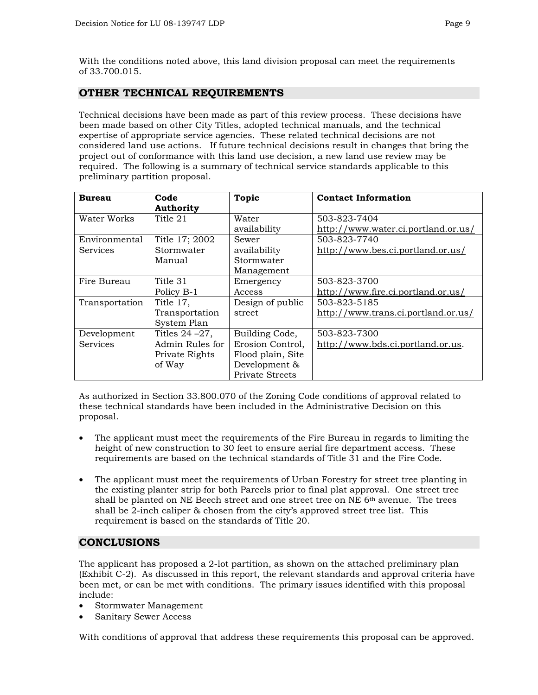With the conditions noted above, this land division proposal can meet the requirements of 33.700.015.

#### **OTHER TECHNICAL REQUIREMENTS**

Technical decisions have been made as part of this review process. These decisions have been made based on other City Titles, adopted technical manuals, and the technical expertise of appropriate service agencies. These related technical decisions are not considered land use actions. If future technical decisions result in changes that bring the project out of conformance with this land use decision, a new land use review may be required. The following is a summary of technical service standards applicable to this preliminary partition proposal.

| <b>Bureau</b>   | Code               | <b>Topic</b>      | <b>Contact Information</b>          |
|-----------------|--------------------|-------------------|-------------------------------------|
|                 | <b>Authority</b>   |                   |                                     |
| Water Works     | Title 21           | Water             | 503-823-7404                        |
|                 |                    | availability      | http://www.water.ci.portland.or.us/ |
| Environmental   | Title 17; 2002     | Sewer             | 503-823-7740                        |
| Services        | Stormwater         | availability      | http://www.bes.ci.portland.or.us/   |
|                 | Manual             | Stormwater        |                                     |
|                 |                    | Management        |                                     |
| Fire Bureau     | Title 31           | Emergency         | 503-823-3700                        |
|                 | Policy B-1         | Access            | http://www.fire.ci.portland.or.us/  |
| Transportation  | Title 17,          | Design of public  | 503-823-5185                        |
|                 | Transportation     | street            | http://www.trans.ci.portland.or.us/ |
|                 | System Plan        |                   |                                     |
| Development     | Titles $24 - 27$ , | Building Code,    | 503-823-7300                        |
| <b>Services</b> | Admin Rules for    | Erosion Control,  | http://www.bds.ci.portland.or.us.   |
|                 | Private Rights     | Flood plain, Site |                                     |
|                 | of Way             | Development &     |                                     |
|                 |                    | Private Streets   |                                     |

As authorized in Section 33.800.070 of the Zoning Code conditions of approval related to these technical standards have been included in the Administrative Decision on this proposal.

- The applicant must meet the requirements of the Fire Bureau in regards to limiting the height of new construction to 30 feet to ensure aerial fire department access. These requirements are based on the technical standards of Title 31 and the Fire Code.
- The applicant must meet the requirements of Urban Forestry for street tree planting in the existing planter strip for both Parcels prior to final plat approval. One street tree shall be planted on NE Beech street and one street tree on NE  $6<sup>th</sup>$  avenue. The trees shall be 2-inch caliper & chosen from the city's approved street tree list. This requirement is based on the standards of Title 20.

#### **CONCLUSIONS**

The applicant has proposed a 2-lot partition, as shown on the attached preliminary plan (Exhibit C-2). As discussed in this report, the relevant standards and approval criteria have been met, or can be met with conditions. The primary issues identified with this proposal include:

- Stormwater Management
- Sanitary Sewer Access

With conditions of approval that address these requirements this proposal can be approved.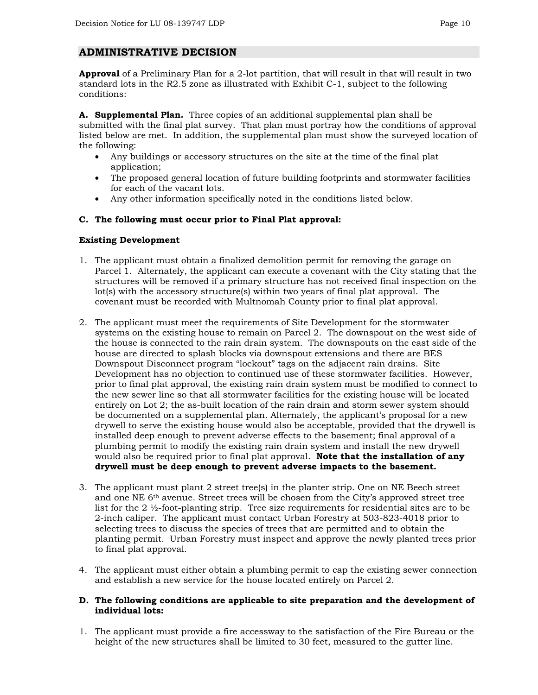#### **ADMINISTRATIVE DECISION**

**Approval** of a Preliminary Plan for a 2-lot partition, that will result in that will result in two standard lots in the R2.5 zone as illustrated with Exhibit C-1, subject to the following conditions:

**A. Supplemental Plan.** Three copies of an additional supplemental plan shall be submitted with the final plat survey. That plan must portray how the conditions of approval listed below are met. In addition, the supplemental plan must show the surveyed location of the following:

- Any buildings or accessory structures on the site at the time of the final plat application;
- The proposed general location of future building footprints and stormwater facilities for each of the vacant lots.
- Any other information specifically noted in the conditions listed below.

#### **C. The following must occur prior to Final Plat approval:**

#### **Existing Development**

- 1. The applicant must obtain a finalized demolition permit for removing the garage on Parcel 1. Alternately, the applicant can execute a covenant with the City stating that the structures will be removed if a primary structure has not received final inspection on the lot(s) with the accessory structure(s) within two years of final plat approval. The covenant must be recorded with Multnomah County prior to final plat approval.
- 2. The applicant must meet the requirements of Site Development for the stormwater systems on the existing house to remain on Parcel 2. The downspout on the west side of the house is connected to the rain drain system. The downspouts on the east side of the house are directed to splash blocks via downspout extensions and there are BES Downspout Disconnect program "lockout" tags on the adjacent rain drains. Site Development has no objection to continued use of these stormwater facilities. However, prior to final plat approval, the existing rain drain system must be modified to connect to the new sewer line so that all stormwater facilities for the existing house will be located entirely on Lot 2; the as-built location of the rain drain and storm sewer system should be documented on a supplemental plan. Alternately, the applicant's proposal for a new drywell to serve the existing house would also be acceptable, provided that the drywell is installed deep enough to prevent adverse effects to the basement; final approval of a plumbing permit to modify the existing rain drain system and install the new drywell would also be required prior to final plat approval. **Note that the installation of any drywell must be deep enough to prevent adverse impacts to the basement.**
- 3. The applicant must plant 2 street tree(s) in the planter strip. One on NE Beech street and one NE 6<sup>th</sup> avenue. Street trees will be chosen from the City's approved street tree list for the 2 ½-foot-planting strip. Tree size requirements for residential sites are to be 2-inch caliper. The applicant must contact Urban Forestry at 503-823-4018 prior to selecting trees to discuss the species of trees that are permitted and to obtain the planting permit. Urban Forestry must inspect and approve the newly planted trees prior to final plat approval.
- 4. The applicant must either obtain a plumbing permit to cap the existing sewer connection and establish a new service for the house located entirely on Parcel 2.

#### **D. The following conditions are applicable to site preparation and the development of individual lots:**

1. The applicant must provide a fire accessway to the satisfaction of the Fire Bureau or the height of the new structures shall be limited to 30 feet, measured to the gutter line.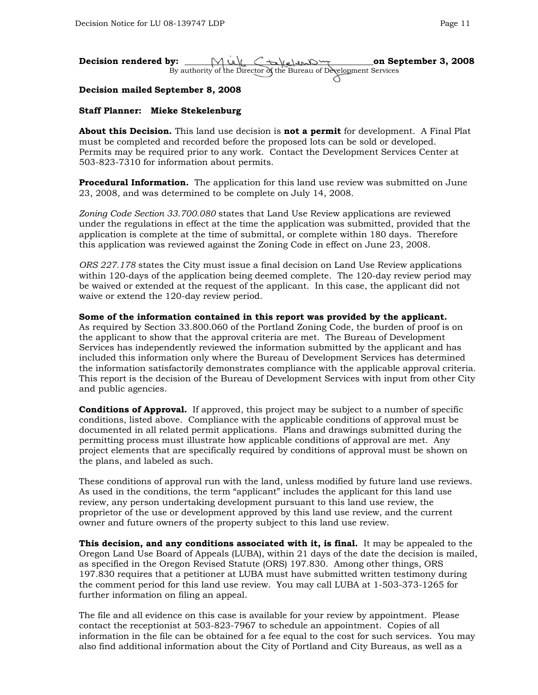| Decision rendered by: | Mill Ctalclent                                                     | on September 3, 2008 |
|-----------------------|--------------------------------------------------------------------|----------------------|
|                       | By authority of the Director of the Bureau of Development Services |                      |
|                       |                                                                    |                      |

#### **Decision mailed September 8, 2008**

#### **Staff Planner: Mieke Stekelenburg**

**About this Decision.** This land use decision is **not a permit** for development. A Final Plat must be completed and recorded before the proposed lots can be sold or developed. Permits may be required prior to any work. Contact the Development Services Center at 503-823-7310 for information about permits.

**Procedural Information.** The application for this land use review was submitted on June 23, 2008, and was determined to be complete on July 14, 2008.

*Zoning Code Section 33.700.080* states that Land Use Review applications are reviewed under the regulations in effect at the time the application was submitted, provided that the application is complete at the time of submittal, or complete within 180 days. Therefore this application was reviewed against the Zoning Code in effect on June 23, 2008.

*ORS 227.178* states the City must issue a final decision on Land Use Review applications within 120-days of the application being deemed complete. The 120-day review period may be waived or extended at the request of the applicant. In this case, the applicant did not waive or extend the 120-day review period.

**Some of the information contained in this report was provided by the applicant.**  As required by Section 33.800.060 of the Portland Zoning Code, the burden of proof is on the applicant to show that the approval criteria are met. The Bureau of Development Services has independently reviewed the information submitted by the applicant and has included this information only where the Bureau of Development Services has determined the information satisfactorily demonstrates compliance with the applicable approval criteria. This report is the decision of the Bureau of Development Services with input from other City and public agencies.

**Conditions of Approval.** If approved, this project may be subject to a number of specific conditions, listed above. Compliance with the applicable conditions of approval must be documented in all related permit applications. Plans and drawings submitted during the permitting process must illustrate how applicable conditions of approval are met. Any project elements that are specifically required by conditions of approval must be shown on the plans, and labeled as such.

These conditions of approval run with the land, unless modified by future land use reviews. As used in the conditions, the term "applicant" includes the applicant for this land use review, any person undertaking development pursuant to this land use review, the proprietor of the use or development approved by this land use review, and the current owner and future owners of the property subject to this land use review.

**This decision, and any conditions associated with it, is final.** It may be appealed to the Oregon Land Use Board of Appeals (LUBA), within 21 days of the date the decision is mailed, as specified in the Oregon Revised Statute (ORS) 197.830. Among other things, ORS 197.830 requires that a petitioner at LUBA must have submitted written testimony during the comment period for this land use review. You may call LUBA at 1-503-373-1265 for further information on filing an appeal.

The file and all evidence on this case is available for your review by appointment. Please contact the receptionist at 503-823-7967 to schedule an appointment. Copies of all information in the file can be obtained for a fee equal to the cost for such services. You may also find additional information about the City of Portland and City Bureaus, as well as a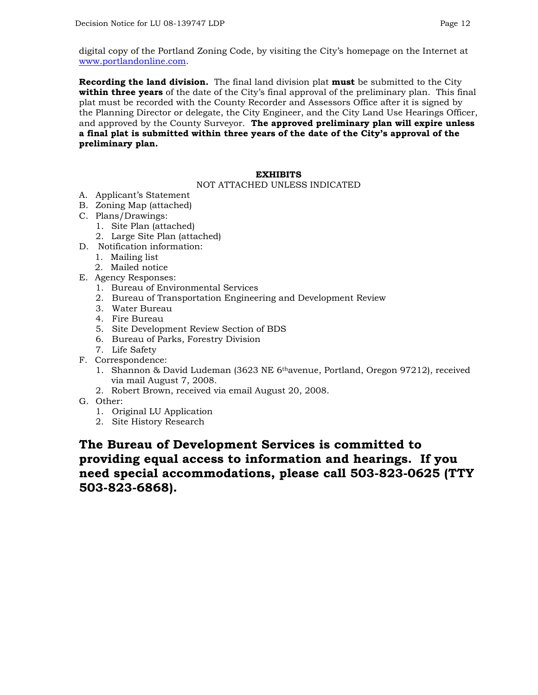digital copy of the Portland Zoning Code, by visiting the City's homepage on the Internet at [www.portlandonline.com.](http://www.portlandonline.com/)

**Recording the land division.** The final land division plat **must** be submitted to the City **within three years** of the date of the City's final approval of the preliminary plan. This final plat must be recorded with the County Recorder and Assessors Office after it is signed by the Planning Director or delegate, the City Engineer, and the City Land Use Hearings Officer, and approved by the County Surveyor. **The approved preliminary plan will expire unless a final plat is submitted within three years of the date of the City's approval of the preliminary plan.**

#### **EXHIBITS**

#### NOT ATTACHED UNLESS INDICATED

- A. Applicant's Statement
- B. Zoning Map (attached)
- C. Plans/Drawings:
	- 1. Site Plan (attached)
		- 2. Large Site Plan (attached)
- D. Notification information:
	- 1. Mailing list
	- 2. Mailed notice
- E. Agency Responses:
	- 1. Bureau of Environmental Services
	- 2. Bureau of Transportation Engineering and Development Review
	- 3. Water Bureau
	- 4. Fire Bureau
	- 5. Site Development Review Section of BDS
	- 6. Bureau of Parks, Forestry Division
	- 7. Life Safety
- F. Correspondence:
	- 1. Shannon & David Ludeman (3623 NE 6<sup>th</sup>avenue, Portland, Oregon 97212), received via mail August 7, 2008.
	- 2. Robert Brown, received via email August 20, 2008.
- G. Other:
	- 1. Original LU Application
	- 2. Site History Research

### **The Bureau of Development Services is committed to providing equal access to information and hearings. If you need special accommodations, please call 503-823-0625 (TTY 503-823-6868).**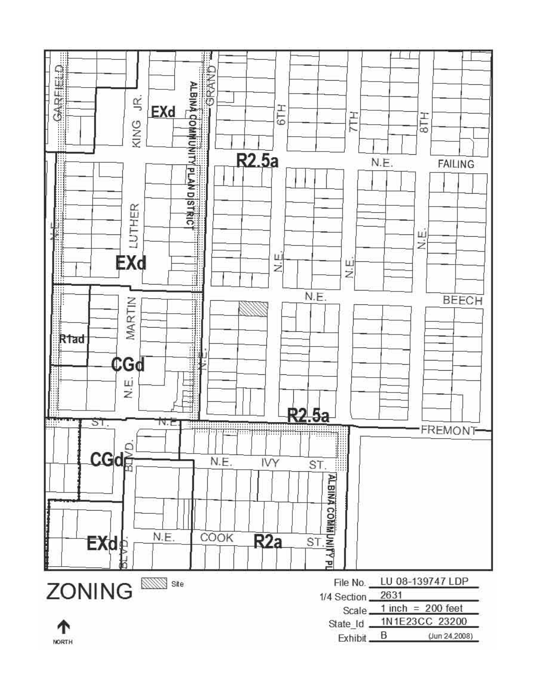